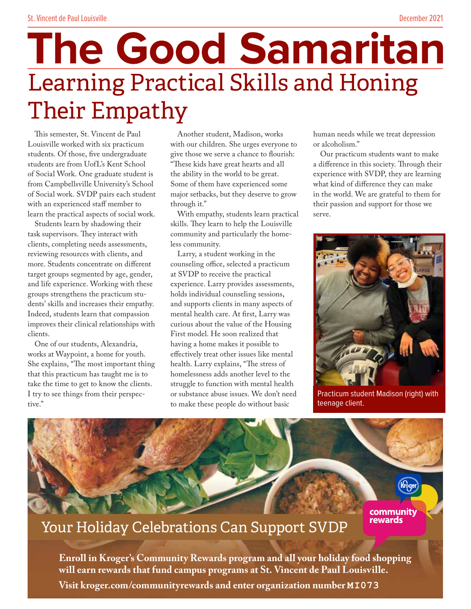# **The Good Samaritan** Learning Practical Skills and Honing Their Empathy

This semester, St. Vincent de Paul Louisville worked with six practicum students. Of those, five undergraduate students are from UofL's Kent School of Social Work. One graduate student is from Campbellsville University's School of Social work. SVDP pairs each student with an experienced staff member to learn the practical aspects of social work.

Students learn by shadowing their task supervisors. They interact with clients, completing needs assessments, reviewing resources with clients, and more. Students concentrate on different target groups segmented by age, gender, and life experience. Working with these groups strengthens the practicum students' skills and increases their empathy. Indeed, students learn that compassion improves their clinical relationships with clients.

One of our students, Alexandria, works at Waypoint, a home for youth. She explains, "The most important thing that this practicum has taught me is to take the time to get to know the clients. I try to see things from their perspective."

Another student, Madison, works with our children. She urges everyone to give those we serve a chance to flourish: "These kids have great hearts and all the ability in the world to be great. Some of them have experienced some major setbacks, but they deserve to grow through it."

With empathy, students learn practical skills. They learn to help the Louisville community and particularly the homeless community.

Larry, a student working in the counseling office, selected a practicum at SVDP to receive the practical experience. Larry provides assessments, holds individual counseling sessions, and supports clients in many aspects of mental health care. At first, Larry was curious about the value of the Housing First model. He soon realized that having a home makes it possible to effectively treat other issues like mental health. Larry explains, "The stress of homelessness adds another level to the struggle to function with mental health or substance abuse issues. We don't need to make these people do without basic

human needs while we treat depression or alcoholism."

Our practicum students want to make a difference in this society. Through their experience with SVDP, they are learning what kind of difference they can make in the world. We are grateful to them for their passion and support for those we serve.



Practicum student Madison (right) with teenage client.



#### Your Holiday Celebrations Can Support SVDP

**Enroll in Kroger's Community Rewards program and all your holiday food shopping will earn rewards that fund campus programs at St. Vincent de Paul Louisville. Visit kroger.com/communityrewards and enter organization number MI073**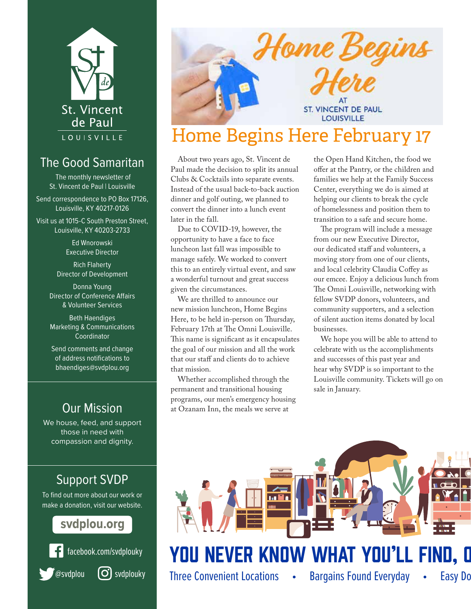

#### The Good Samaritan

The monthly newsletter of St. Vincent de Paul | Louisville

Send correspondence to PO Box 17126, Louisville, KY 40217-0126

Visit us at 1015-C South Preston Street, Louisville, KY 40203-2733

> Ed Wnorowski Executive Director

Rich Flaherty Director of Development

Donna Young Director of Conference Affairs & Volunteer Services

Beth Haendiges Marketing & Communications Coordinator

Send comments and change of address notifications to bhaendiges@svdplou.org

#### Our Mission

We house, feed, and support those in need with compassion and dignity.

#### Support SVDP

To find out more about our work or make a donation, visit our website.

#### svdplou.org







## Home Beg **ST. VINCENT DE PAUL LOUISVILLE**

### Home Begins Here February 17

About two years ago, St. Vincent de Paul made the decision to split its annual Clubs & Cocktails into separate events. Instead of the usual back-to-back auction dinner and golf outing, we planned to convert the dinner into a lunch event later in the fall.

Due to COVID-19, however, the opportunity to have a face to face luncheon last fall was impossible to manage safely. We worked to convert this to an entirely virtual event, and saw a wonderful turnout and great success given the circumstances.

We are thrilled to announce our new mission luncheon, Home Begins Here, to be held in-person on Thursday, February 17th at The Omni Louisville. This name is significant as it encapsulates the goal of our mission and all the work that our staff and clients do to achieve that mission.

Whether accomplished through the permanent and transitional housing programs, our men's emergency housing at Ozanam Inn, the meals we serve at

the Open Hand Kitchen, the food we offer at the Pantry, or the children and families we help at the Family Success Center, everything we do is aimed at helping our clients to break the cycle of homelessness and position them to transition to a safe and secure home.

The program will include a message from our new Executive Director, our dedicated staff and volunteers, a moving story from one of our clients, and local celebrity Claudia Coffey as our emcee. Enjoy a delicious lunch from The Omni Louisville, networking with fellow SVDP donors, volunteers, and community supporters, and a selection of silent auction items donated by local businesses.

We hope you will be able to attend to celebrate with us the accomplishments and successes of this past year and hear why SVDP is so important to the Louisville community. Tickets will go on sale in January.

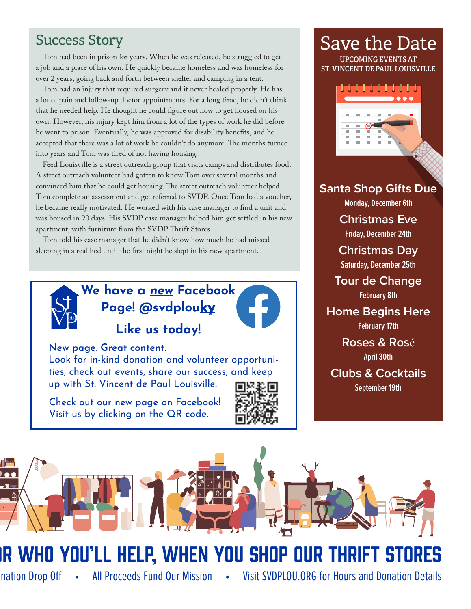#### Success Story

Tom had been in prison for years. When he was released, he struggled to get a job and a place of his own. He quickly became homeless and was homeless for over 2 years, going back and forth between shelter and camping in a tent.

Tom had an injury that required surgery and it never healed properly. He has a lot of pain and follow-up doctor appointments. For a long time, he didn't think that he needed help. He thought he could figure out how to get housed on his own. However, his injury kept him from a lot of the types of work he did before he went to prison. Eventually, he was approved for disability benefits, and he accepted that there was a lot of work he couldn't do anymore. The months turned into years and Tom was tired of not having housing.

Feed Louisville is a street outreach group that visits camps and distributes food. A street outreach volunteer had gotten to know Tom over several months and convinced him that he could get housing. The street outreach volunteer helped Tom complete an assessment and get referred to SVDP. Once Tom had a voucher, he became really motivated. He worked with his case manager to find a unit and was housed in 90 days. His SVDP case manager helped him get settled in his new apartment, with furniture from the SVDP Thrift Stores.

Tom told his case manager that he didn't know how much he had missed sleeping in a real bed until the first night he slept in his new apartment.



**We have a new Facebook Page! @svdplouky Like us today!**



**New page. Great content.**

Look for in-kind donation and volunteer opportunities, check out events, share our success, and keep up with St. Vincent de Paul Louisville.

Check out our new page on Facebook! Visit us by clicking on the QR code.



## Save the Date

**UPCOMING EVENTS AT ST. VINCENT DE PAUL LOUISVILLE**



**Santa Shop Gifts Due**

**Monday, December 6th**

**Christmas Eve**

**Friday, December 24th**

**Christmas Day Saturday, December 25th**

**Tour de Change February 8th**

#### **Home Begins Here**

**February 17th**

**Roses & Ros**é **April 30th**

**Clubs & Cocktails**

**September 19th**



## IR WHO YOU'LL HELP, WHEN YOU SHOP OUR THRIFT STORES

nation Drop Off • All Proceeds Fund Our Mission • Visit SVDPLOU.ORG for Hours and Donation Details